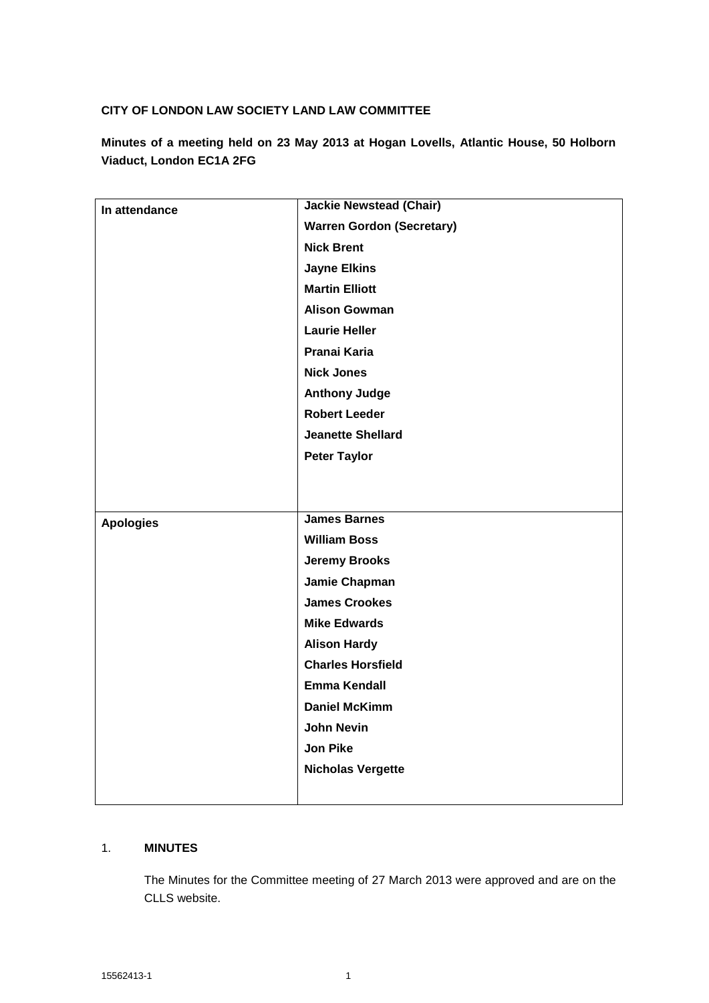## **CITY OF LONDON LAW SOCIETY LAND LAW COMMITTEE**

**Minutes of a meeting held on 23 May 2013 at Hogan Lovells, Atlantic House, 50 Holborn Viaduct, London EC1A 2FG**

| In attendance    | <b>Jackie Newstead (Chair)</b>   |
|------------------|----------------------------------|
|                  | <b>Warren Gordon (Secretary)</b> |
|                  | <b>Nick Brent</b>                |
|                  | <b>Jayne Elkins</b>              |
|                  | <b>Martin Elliott</b>            |
|                  | <b>Alison Gowman</b>             |
|                  | <b>Laurie Heller</b>             |
|                  | Pranai Karia                     |
|                  | <b>Nick Jones</b>                |
|                  | <b>Anthony Judge</b>             |
|                  | <b>Robert Leeder</b>             |
|                  | <b>Jeanette Shellard</b>         |
|                  | <b>Peter Taylor</b>              |
|                  |                                  |
|                  |                                  |
| <b>Apologies</b> | <b>James Barnes</b>              |
|                  | <b>William Boss</b>              |
|                  | <b>Jeremy Brooks</b>             |
|                  | Jamie Chapman                    |
|                  | <b>James Crookes</b>             |
|                  | <b>Mike Edwards</b>              |
|                  | <b>Alison Hardy</b>              |
|                  | <b>Charles Horsfield</b>         |
|                  | <b>Emma Kendall</b>              |
|                  | <b>Daniel McKimm</b>             |
|                  | <b>John Nevin</b>                |
|                  | <b>Jon Pike</b>                  |
|                  | <b>Nicholas Vergette</b>         |
|                  |                                  |

### 1. **MINUTES**

The Minutes for the Committee meeting of 27 March 2013 were approved and are on the CLLS website.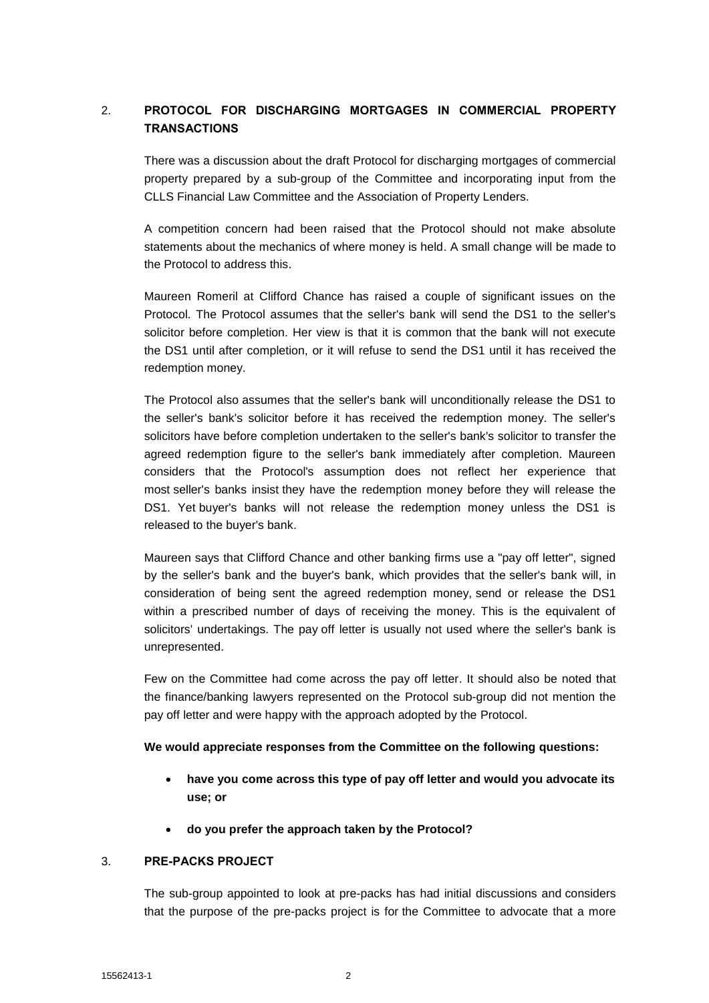# 2. **PROTOCOL FOR DISCHARGING MORTGAGES IN COMMERCIAL PROPERTY TRANSACTIONS**

There was a discussion about the draft Protocol for discharging mortgages of commercial property prepared by a sub-group of the Committee and incorporating input from the CLLS Financial Law Committee and the Association of Property Lenders.

A competition concern had been raised that the Protocol should not make absolute statements about the mechanics of where money is held. A small change will be made to the Protocol to address this.

Maureen Romeril at Clifford Chance has raised a couple of significant issues on the Protocol. The Protocol assumes that the seller's bank will send the DS1 to the seller's solicitor before completion. Her view is that it is common that the bank will not execute the DS1 until after completion, or it will refuse to send the DS1 until it has received the redemption money.

The Protocol also assumes that the seller's bank will unconditionally release the DS1 to the seller's bank's solicitor before it has received the redemption money. The seller's solicitors have before completion undertaken to the seller's bank's solicitor to transfer the agreed redemption figure to the seller's bank immediately after completion. Maureen considers that the Protocol's assumption does not reflect her experience that most seller's banks insist they have the redemption money before they will release the DS1. Yet buyer's banks will not release the redemption money unless the DS1 is released to the buyer's bank.

Maureen says that Clifford Chance and other banking firms use a "pay off letter", signed by the seller's bank and the buyer's bank, which provides that the seller's bank will, in consideration of being sent the agreed redemption money, send or release the DS1 within a prescribed number of days of receiving the money. This is the equivalent of solicitors' undertakings. The pay off letter is usually not used where the seller's bank is unrepresented.

Few on the Committee had come across the pay off letter. It should also be noted that the finance/banking lawyers represented on the Protocol sub-group did not mention the pay off letter and were happy with the approach adopted by the Protocol.

### **We would appreciate responses from the Committee on the following questions:**

- **have you come across this type of pay off letter and would you advocate its use; or**
- **do you prefer the approach taken by the Protocol?**

### 3. **PRE-PACKS PROJECT**

The sub-group appointed to look at pre-packs has had initial discussions and considers that the purpose of the pre-packs project is for the Committee to advocate that a more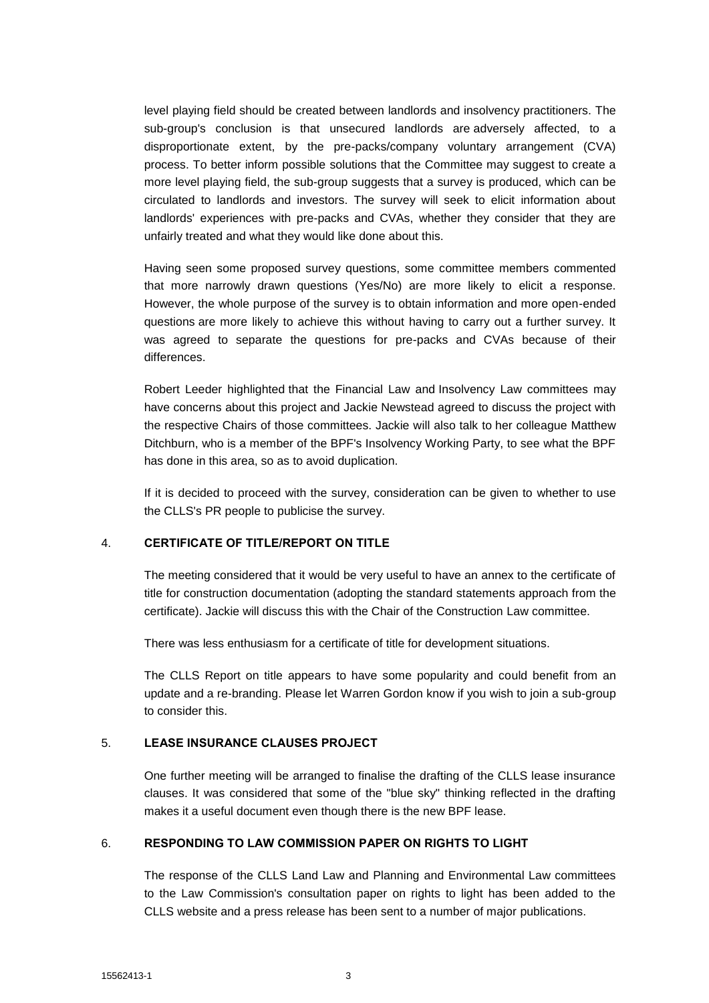level playing field should be created between landlords and insolvency practitioners. The sub-group's conclusion is that unsecured landlords are adversely affected, to a disproportionate extent, by the pre-packs/company voluntary arrangement (CVA) process. To better inform possible solutions that the Committee may suggest to create a more level playing field, the sub-group suggests that a survey is produced, which can be circulated to landlords and investors. The survey will seek to elicit information about landlords' experiences with pre-packs and CVAs, whether they consider that they are unfairly treated and what they would like done about this.

Having seen some proposed survey questions, some committee members commented that more narrowly drawn questions (Yes/No) are more likely to elicit a response. However, the whole purpose of the survey is to obtain information and more open-ended questions are more likely to achieve this without having to carry out a further survey. It was agreed to separate the questions for pre-packs and CVAs because of their differences.

Robert Leeder highlighted that the Financial Law and Insolvency Law committees may have concerns about this project and Jackie Newstead agreed to discuss the project with the respective Chairs of those committees. Jackie will also talk to her colleague Matthew Ditchburn, who is a member of the BPF's Insolvency Working Party, to see what the BPF has done in this area, so as to avoid duplication.

If it is decided to proceed with the survey, consideration can be given to whether to use the CLLS's PR people to publicise the survey.

#### 4. **CERTIFICATE OF TITLE/REPORT ON TITLE**

The meeting considered that it would be very useful to have an annex to the certificate of title for construction documentation (adopting the standard statements approach from the certificate). Jackie will discuss this with the Chair of the Construction Law committee.

There was less enthusiasm for a certificate of title for development situations.

The CLLS Report on title appears to have some popularity and could benefit from an update and a re-branding. Please let Warren Gordon know if you wish to join a sub-group to consider this.

### 5. **LEASE INSURANCE CLAUSES PROJECT**

One further meeting will be arranged to finalise the drafting of the CLLS lease insurance clauses. It was considered that some of the "blue sky" thinking reflected in the drafting makes it a useful document even though there is the new BPF lease.

### 6. **RESPONDING TO LAW COMMISSION PAPER ON RIGHTS TO LIGHT**

The response of the CLLS Land Law and Planning and Environmental Law committees to the Law Commission's consultation paper on rights to light has been added to the CLLS website and a press release has been sent to a number of major publications.